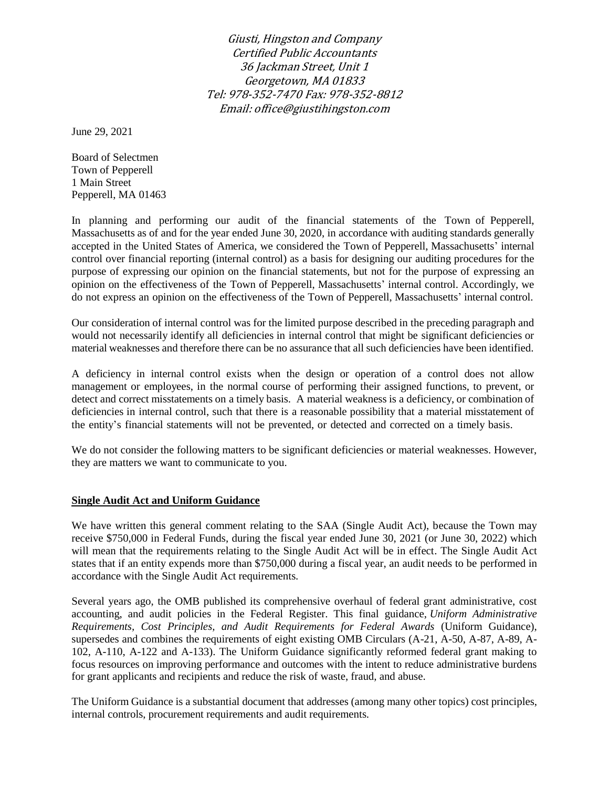Giusti, Hingston and Company Certified Public Accountants 36 Jackman Street, Unit 1 Georgetown, MA 01833 Tel: 978-352-7470 Fax: 978-352-8812 Email: office@giustihingston.com

June 29, 2021

Board of Selectmen Town of Pepperell 1 Main Street Pepperell, MA 01463

In planning and performing our audit of the financial statements of the Town of Pepperell, Massachusetts as of and for the year ended June 30, 2020, in accordance with auditing standards generally accepted in the United States of America, we considered the Town of Pepperell, Massachusetts' internal control over financial reporting (internal control) as a basis for designing our auditing procedures for the purpose of expressing our opinion on the financial statements, but not for the purpose of expressing an opinion on the effectiveness of the Town of Pepperell, Massachusetts' internal control. Accordingly, we do not express an opinion on the effectiveness of the Town of Pepperell, Massachusetts' internal control.

Our consideration of internal control was for the limited purpose described in the preceding paragraph and would not necessarily identify all deficiencies in internal control that might be significant deficiencies or material weaknesses and therefore there can be no assurance that all such deficiencies have been identified.

A deficiency in internal control exists when the design or operation of a control does not allow management or employees, in the normal course of performing their assigned functions, to prevent, or detect and correct misstatements on a timely basis. A material weakness is a deficiency, or combination of deficiencies in internal control, such that there is a reasonable possibility that a material misstatement of the entity's financial statements will not be prevented, or detected and corrected on a timely basis.

We do not consider the following matters to be significant deficiencies or material weaknesses. However, they are matters we want to communicate to you.

### **Single Audit Act and Uniform Guidance**

We have written this general comment relating to the SAA (Single Audit Act), because the Town may receive \$750,000 in Federal Funds, during the fiscal year ended June 30, 2021 (or June 30, 2022) which will mean that the requirements relating to the Single Audit Act will be in effect. The Single Audit Act states that if an entity expends more than \$750,000 during a fiscal year, an audit needs to be performed in accordance with the Single Audit Act requirements.

Several years ago, the OMB published its comprehensive overhaul of federal grant administrative, cost accounting, and audit policies in the Federal Register. This final guidance, *[Uniform Administrative](https://www.federalregister.gov/articles/2013/12/26/2013-30465/uniform-administrative-requirements-cost-principles-and-audit-requirements-for-federal-awards)  [Requirements, Cost Principles, and Audit Requirements for Federal Awards](https://www.federalregister.gov/articles/2013/12/26/2013-30465/uniform-administrative-requirements-cost-principles-and-audit-requirements-for-federal-awards)* (Uniform Guidance), supersedes and combines the requirements of eight existing OMB Circulars (A-21, A-50, A-87, A-89, A-102, A-110, A-122 and A-133). The Uniform Guidance significantly reformed federal grant making to focus resources on improving performance and outcomes with the intent to reduce administrative burdens for grant applicants and recipients and reduce the risk of waste, fraud, and abuse.

The Uniform Guidance is a substantial document that addresses (among many other topics) cost principles, internal controls, procurement requirements and audit requirements.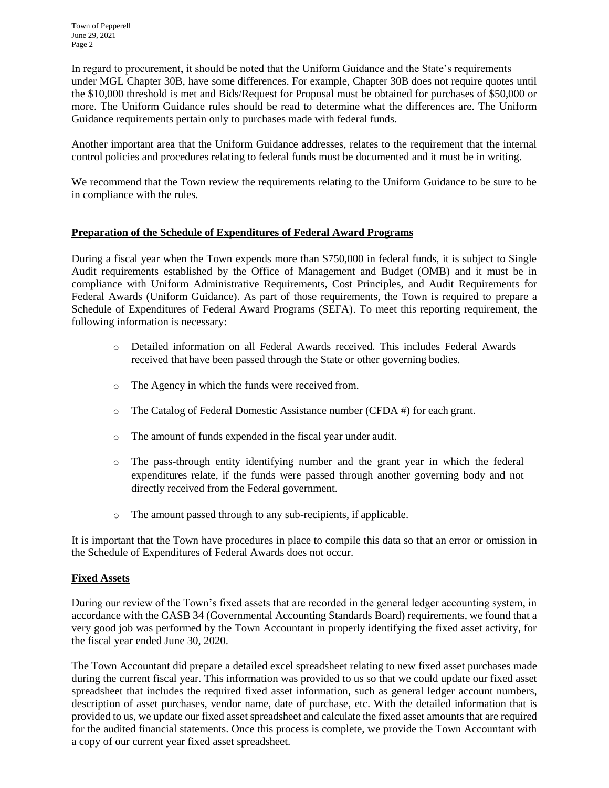In regard to procurement, it should be noted that the Uniform Guidance and the State's requirements under MGL Chapter 30B, have some differences. For example, Chapter 30B does not require quotes until the \$10,000 threshold is met and Bids/Request for Proposal must be obtained for purchases of \$50,000 or more. The Uniform Guidance rules should be read to determine what the differences are. The Uniform Guidance requirements pertain only to purchases made with federal funds.

Another important area that the Uniform Guidance addresses, relates to the requirement that the internal control policies and procedures relating to federal funds must be documented and it must be in writing.

We recommend that the Town review the requirements relating to the Uniform Guidance to be sure to be in compliance with the rules.

## **Preparation of the Schedule of Expenditures of Federal Award Programs**

During a fiscal year when the Town expends more than \$750,000 in federal funds, it is subject to Single Audit requirements established by the Office of Management and Budget (OMB) and it must be in compliance with Uniform Administrative Requirements, Cost Principles, and Audit Requirements for Federal Awards (Uniform Guidance). As part of those requirements, the Town is required to prepare a Schedule of Expenditures of Federal Award Programs (SEFA). To meet this reporting requirement, the following information is necessary:

- o Detailed information on all Federal Awards received. This includes Federal Awards received that have been passed through the State or other governing bodies.
- o The Agency in which the funds were received from.
- o The Catalog of Federal Domestic Assistance number (CFDA #) for each grant.
- o The amount of funds expended in the fiscal year under audit.
- o The pass-through entity identifying number and the grant year in which the federal expenditures relate, if the funds were passed through another governing body and not directly received from the Federal government.
- o The amount passed through to any sub-recipients, if applicable.

It is important that the Town have procedures in place to compile this data so that an error or omission in the Schedule of Expenditures of Federal Awards does not occur.

### **Fixed Assets**

During our review of the Town's fixed assets that are recorded in the general ledger accounting system, in accordance with the GASB 34 (Governmental Accounting Standards Board) requirements, we found that a very good job was performed by the Town Accountant in properly identifying the fixed asset activity, for the fiscal year ended June 30, 2020.

The Town Accountant did prepare a detailed excel spreadsheet relating to new fixed asset purchases made during the current fiscal year. This information was provided to us so that we could update our fixed asset spreadsheet that includes the required fixed asset information, such as general ledger account numbers, description of asset purchases, vendor name, date of purchase, etc. With the detailed information that is provided to us, we update our fixed asset spreadsheet and calculate the fixed asset amounts that are required for the audited financial statements. Once this process is complete, we provide the Town Accountant with a copy of our current year fixed asset spreadsheet.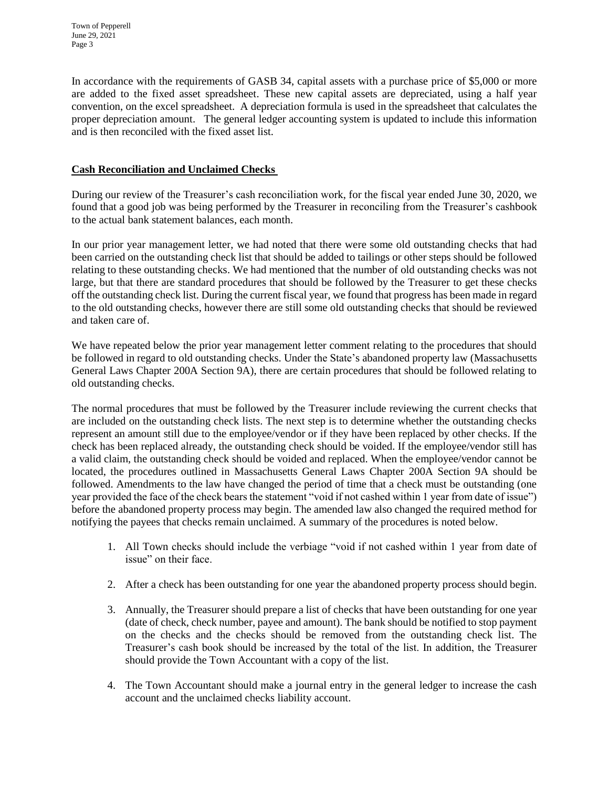In accordance with the requirements of GASB 34, capital assets with a purchase price of \$5,000 or more are added to the fixed asset spreadsheet. These new capital assets are depreciated, using a half year convention, on the excel spreadsheet. A depreciation formula is used in the spreadsheet that calculates the proper depreciation amount. The general ledger accounting system is updated to include this information and is then reconciled with the fixed asset list.

# **Cash Reconciliation and Unclaimed Checks**

During our review of the Treasurer's cash reconciliation work, for the fiscal year ended June 30, 2020, we found that a good job was being performed by the Treasurer in reconciling from the Treasurer's cashbook to the actual bank statement balances, each month.

In our prior year management letter, we had noted that there were some old outstanding checks that had been carried on the outstanding check list that should be added to tailings or other steps should be followed relating to these outstanding checks. We had mentioned that the number of old outstanding checks was not large, but that there are standard procedures that should be followed by the Treasurer to get these checks off the outstanding check list. During the current fiscal year, we found that progress has been made in regard to the old outstanding checks, however there are still some old outstanding checks that should be reviewed and taken care of.

We have repeated below the prior year management letter comment relating to the procedures that should be followed in regard to old outstanding checks. Under the State's abandoned property law (Massachusetts General Laws Chapter 200A Section 9A), there are certain procedures that should be followed relating to old outstanding checks.

The normal procedures that must be followed by the Treasurer include reviewing the current checks that are included on the outstanding check lists. The next step is to determine whether the outstanding checks represent an amount still due to the employee/vendor or if they have been replaced by other checks. If the check has been replaced already, the outstanding check should be voided. If the employee/vendor still has a valid claim, the outstanding check should be voided and replaced. When the employee/vendor cannot be located, the procedures outlined in Massachusetts General Laws Chapter 200A Section 9A should be followed. Amendments to the law have changed the period of time that a check must be outstanding (one year provided the face of the check bears the statement "void if not cashed within 1 year from date of issue") before the abandoned property process may begin. The amended law also changed the required method for notifying the payees that checks remain unclaimed. A summary of the procedures is noted below.

- 1. All Town checks should include the verbiage "void if not cashed within 1 year from date of issue" on their face.
- 2. After a check has been outstanding for one year the abandoned property process should begin.
- 3. Annually, the Treasurer should prepare a list of checks that have been outstanding for one year (date of check, check number, payee and amount). The bank should be notified to stop payment on the checks and the checks should be removed from the outstanding check list. The Treasurer's cash book should be increased by the total of the list. In addition, the Treasurer should provide the Town Accountant with a copy of the list.
- 4. The Town Accountant should make a journal entry in the general ledger to increase the cash account and the unclaimed checks liability account.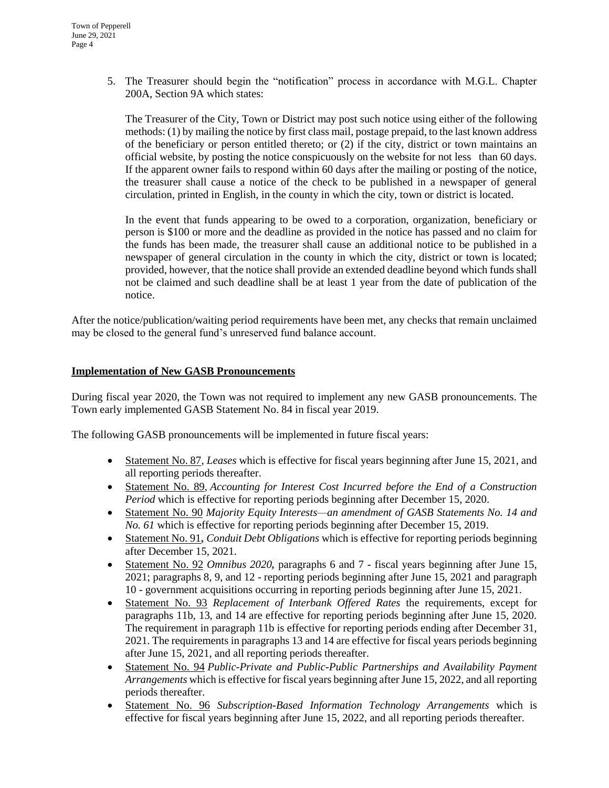5. The Treasurer should begin the "notification" process in accordance with M.G.L. Chapter 200A, Section 9A which states:

The Treasurer of the City, Town or District may post such notice using either of the following methods: (1) by mailing the notice by first class mail, postage prepaid, to the last known address of the beneficiary or person entitled thereto; or (2) if the city, district or town maintains an official website, by posting the notice conspicuously on the website for not less than 60 days. If the apparent owner fails to respond within 60 days after the mailing or posting of the notice, the treasurer shall cause a notice of the check to be published in a newspaper of general circulation, printed in English, in the county in which the city, town or district is located.

In the event that funds appearing to be owed to a corporation, organization, beneficiary or person is \$100 or more and the deadline as provided in the notice has passed and no claim for the funds has been made, the treasurer shall cause an additional notice to be published in a newspaper of general circulation in the county in which the city, district or town is located; provided, however, that the notice shall provide an extended deadline beyond which funds shall not be claimed and such deadline shall be at least 1 year from the date of publication of the notice.

After the notice/publication/waiting period requirements have been met, any checks that remain unclaimed may be closed to the general fund's unreserved fund balance account.

#### **Implementation of New GASB Pronouncements**

During fiscal year 2020, the Town was not required to implement any new GASB pronouncements. The Town early implemented GASB Statement No. 84 in fiscal year 2019.

The following GASB pronouncements will be implemented in future fiscal years:

- Statement No. 87, *Leases* which is effective for fiscal years beginning after June 15, 2021, and all reporting periods thereafter.
- Statement No. 89, *Accounting for Interest Cost Incurred before the End of a Construction Period* which is effective for reporting periods beginning after December 15, 2020.
- Statement No. 90 *Majority Equity Interests—an amendment of GASB Statements No. 14 and No. 61* which is effective for reporting periods beginning after December 15, 2019.
- Statement No. 91**,** *Conduit Debt Obligations* which is effective for reporting periods beginning after December 15, 2021.
- Statement No. 92 *Omnibus 2020*, paragraphs 6 and 7 fiscal years beginning after June 15, 2021; paragraphs 8, 9, and 12 - reporting periods beginning after June 15, 2021 and paragraph 10 - government acquisitions occurring in reporting periods beginning after June 15, 2021.
- Statement No. 93 *Replacement of Interbank Offered Rates* the requirements, except for paragraphs 11b, 13, and 14 are effective for reporting periods beginning after June 15, 2020. The requirement in paragraph 11b is effective for reporting periods ending after December 31, 2021. The requirements in paragraphs 13 and 14 are effective for fiscal years periods beginning after June 15, 2021, and all reporting periods thereafter.
- Statement No. 94 *Public-Private and Public-Public Partnerships and Availability Payment Arrangements* which is effective for fiscal years beginning after June 15, 2022, and all reporting periods thereafter.
- Statement No. 96 *Subscription-Based Information Technology Arrangements* which is effective for fiscal years beginning after June 15, 2022, and all reporting periods thereafter.